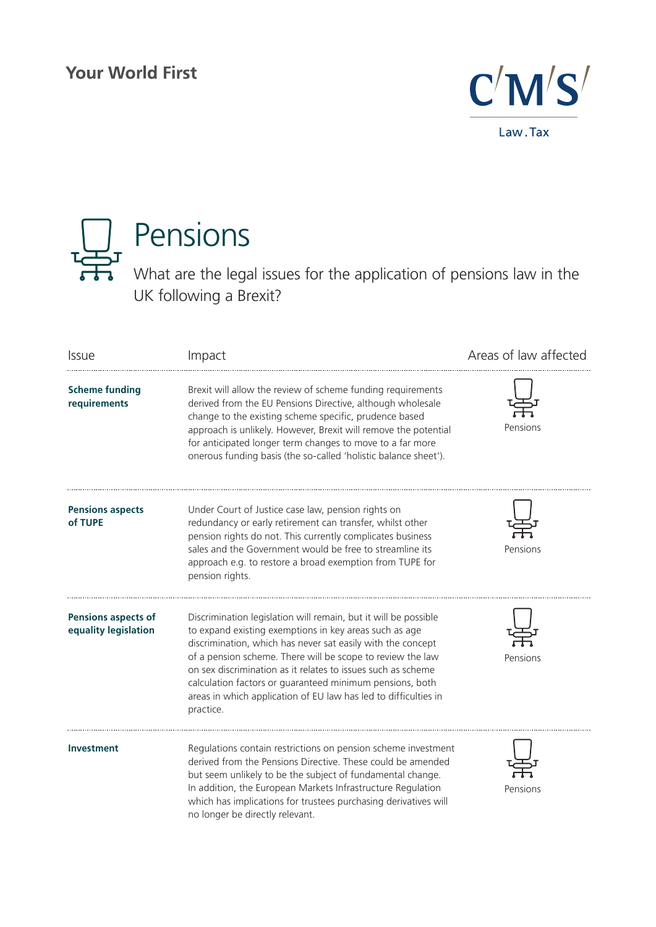# **Your World First**





| <b>Issue</b>                                       | Impact                                                                                                                                                                                                                                                                                                                                                                                                                                                             | Areas of law affected |
|----------------------------------------------------|--------------------------------------------------------------------------------------------------------------------------------------------------------------------------------------------------------------------------------------------------------------------------------------------------------------------------------------------------------------------------------------------------------------------------------------------------------------------|-----------------------|
| <b>Scheme funding</b><br>requirements              | Brexit will allow the review of scheme funding requirements<br>derived from the EU Pensions Directive, although wholesale<br>change to the existing scheme specific, prudence based<br>approach is unlikely. However, Brexit will remove the potential<br>for anticipated longer term changes to move to a far more<br>onerous funding basis (the so-called 'holistic balance sheet').                                                                             | Pensions              |
| <b>Pensions aspects</b><br>of TUPE                 | Under Court of Justice case law, pension rights on<br>redundancy or early retirement can transfer, whilst other<br>pension rights do not. This currently complicates business<br>sales and the Government would be free to streamline its<br>approach e.g. to restore a broad exemption from TUPE for<br>pension rights.                                                                                                                                           | Pensions              |
| <b>Pensions aspects of</b><br>equality legislation | Discrimination legislation will remain, but it will be possible<br>to expand existing exemptions in key areas such as age<br>discrimination, which has never sat easily with the concept<br>of a pension scheme. There will be scope to review the law<br>on sex discrimination as it relates to issues such as scheme<br>calculation factors or guaranteed minimum pensions, both<br>areas in which application of EU law has led to difficulties in<br>practice. | Pensions              |
| <b>Investment</b>                                  | Regulations contain restrictions on pension scheme investment<br>derived from the Pensions Directive. These could be amended<br>but seem unlikely to be the subject of fundamental change.<br>In addition, the European Markets Infrastructure Regulation<br>which has implications for trustees purchasing derivatives will<br>no longer be directly relevant.                                                                                                    | Pensions              |